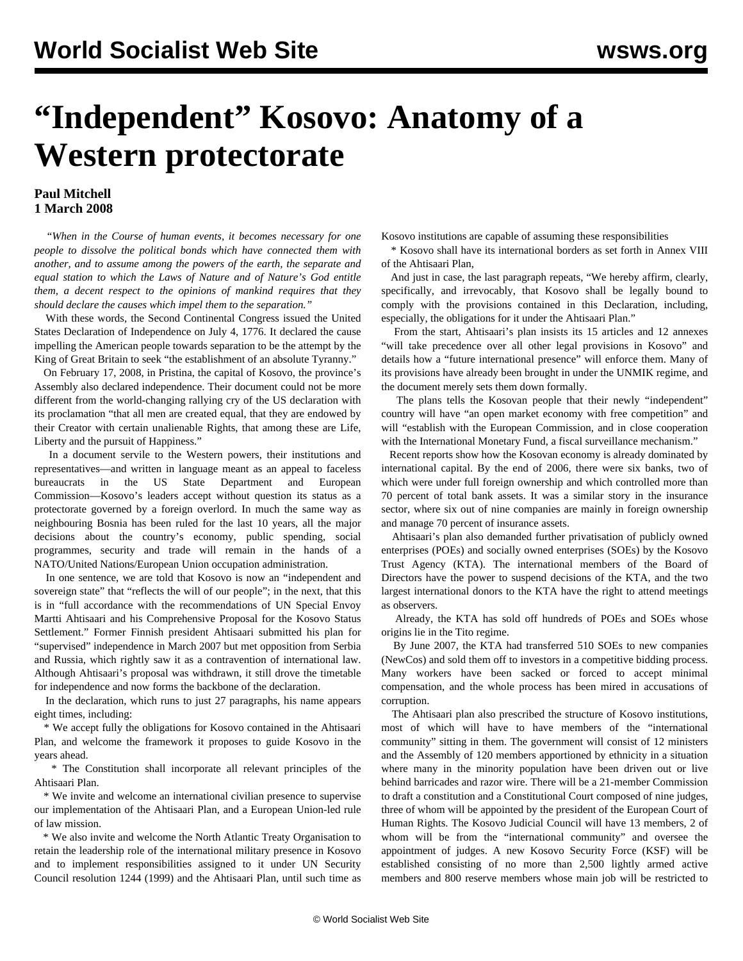## **"Independent" Kosovo: Anatomy of a Western protectorate**

## **Paul Mitchell 1 March 2008**

 "*When in the Course of human events, it becomes necessary for one people to dissolve the political bonds which have connected them with another, and to assume among the powers of the earth, the separate and equal station to which the Laws of Nature and of Nature's God entitle them, a decent respect to the opinions of mankind requires that they should declare the causes which impel them to the separation."*

 With these words, the Second Continental Congress issued the United States Declaration of Independence on July 4, 1776. It declared the cause impelling the American people towards separation to be the attempt by the King of Great Britain to seek "the establishment of an absolute Tyranny."

 On February 17, 2008, in Pristina, the capital of Kosovo, the province's Assembly also declared independence. Their document could not be more different from the world-changing rallying cry of the US declaration with its proclamation "that all men are created equal, that they are endowed by their Creator with certain unalienable Rights, that among these are Life, Liberty and the pursuit of Happiness."

 In a document servile to the Western powers, their institutions and representatives—and written in language meant as an appeal to faceless bureaucrats in the US State Department and European Commission—Kosovo's leaders accept without question its status as a protectorate governed by a foreign overlord. In much the same way as neighbouring Bosnia has been ruled for the last 10 years, all the major decisions about the country's economy, public spending, social programmes, security and trade will remain in the hands of a NATO/United Nations/European Union occupation administration.

 In one sentence, we are told that Kosovo is now an "independent and sovereign state" that "reflects the will of our people"; in the next, that this is in "full accordance with the recommendations of UN Special Envoy Martti Ahtisaari and his Comprehensive Proposal for the Kosovo Status Settlement." Former Finnish president Ahtisaari submitted his plan for "supervised" independence in March 2007 but met opposition from Serbia and Russia, which rightly saw it as a contravention of international law. Although Ahtisaari's proposal was withdrawn, it still drove the timetable for independence and now forms the backbone of the declaration.

 In the declaration, which runs to just 27 paragraphs, his name appears eight times, including:

 \* We accept fully the obligations for Kosovo contained in the Ahtisaari Plan, and welcome the framework it proposes to guide Kosovo in the years ahead.

 \* The Constitution shall incorporate all relevant principles of the Ahtisaari Plan.

 \* We invite and welcome an international civilian presence to supervise our implementation of the Ahtisaari Plan, and a European Union-led rule of law mission.

 \* We also invite and welcome the North Atlantic Treaty Organisation to retain the leadership role of the international military presence in Kosovo and to implement responsibilities assigned to it under UN Security Council resolution 1244 (1999) and the Ahtisaari Plan, until such time as Kosovo institutions are capable of assuming these responsibilities

 \* Kosovo shall have its international borders as set forth in Annex VIII of the Ahtisaari Plan,

 And just in case, the last paragraph repeats, "We hereby affirm, clearly, specifically, and irrevocably, that Kosovo shall be legally bound to comply with the provisions contained in this Declaration, including, especially, the obligations for it under the Ahtisaari Plan."

 From the start, Ahtisaari's plan insists its 15 articles and 12 annexes "will take precedence over all other legal provisions in Kosovo" and details how a "future international presence" will enforce them. Many of its provisions have already been brought in under the UNMIK regime, and the document merely sets them down formally.

 The plans tells the Kosovan people that their newly "independent" country will have "an open market economy with free competition" and will "establish with the European Commission, and in close cooperation with the International Monetary Fund, a fiscal surveillance mechanism."

 Recent reports show how the Kosovan economy is already dominated by international capital. By the end of 2006, there were six banks, two of which were under full foreign ownership and which controlled more than 70 percent of total bank assets. It was a similar story in the insurance sector, where six out of nine companies are mainly in foreign ownership and manage 70 percent of insurance assets.

 Ahtisaari's plan also demanded further privatisation of publicly owned enterprises (POEs) and socially owned enterprises (SOEs) by the Kosovo Trust Agency (KTA). The international members of the Board of Directors have the power to suspend decisions of the KTA, and the two largest international donors to the KTA have the right to attend meetings as observers.

 Already, the KTA has sold off hundreds of POEs and SOEs whose origins lie in the Tito regime.

 By June 2007, the KTA had transferred 510 SOEs to new companies (NewCos) and sold them off to investors in a competitive bidding process. Many workers have been sacked or forced to accept minimal compensation, and the whole process has been mired in accusations of corruption.

 The Ahtisaari plan also prescribed the structure of Kosovo institutions, most of which will have to have members of the "international community" sitting in them. The government will consist of 12 ministers and the Assembly of 120 members apportioned by ethnicity in a situation where many in the minority population have been driven out or live behind barricades and razor wire. There will be a 21-member Commission to draft a constitution and a Constitutional Court composed of nine judges, three of whom will be appointed by the president of the European Court of Human Rights. The Kosovo Judicial Council will have 13 members, 2 of whom will be from the "international community" and oversee the appointment of judges. A new Kosovo Security Force (KSF) will be established consisting of no more than 2,500 lightly armed active members and 800 reserve members whose main job will be restricted to